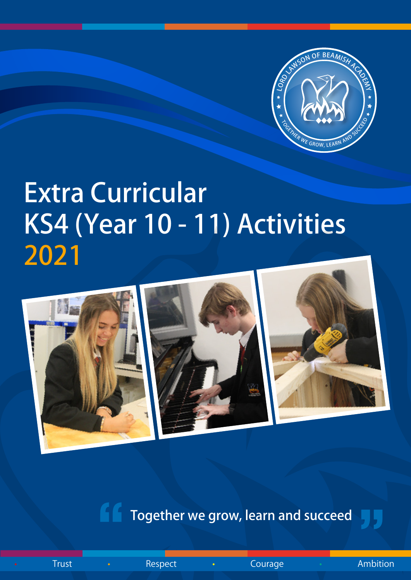

# Extra Curricular KS4 (Year 10 - 11) Activities 2021



**The Together we grow, learn and succeed** 

• Trust • Respect • Courage • Ambition

-95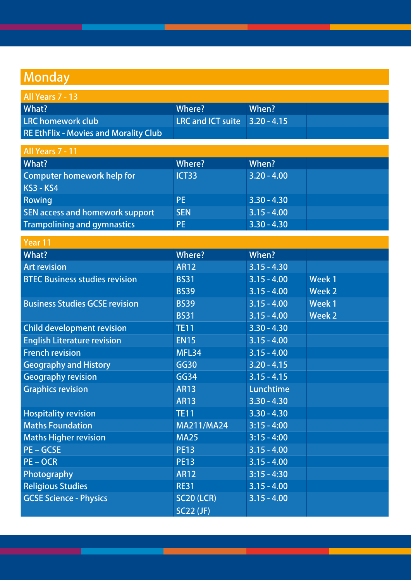## **Monday**

| All Years 7 - 13                             |                          |               |               |
|----------------------------------------------|--------------------------|---------------|---------------|
| What?                                        | <b>Where?</b>            | When?         |               |
| <b>LRC</b> homework club                     | <b>LRC and ICT suite</b> | $3.20 - 4.15$ |               |
| <b>RE EthFlix - Movies and Morality Club</b> |                          |               |               |
| All Years 7 - 11                             |                          |               |               |
| What?                                        | <b>Where?</b>            | When?         |               |
| <b>Computer homework help for</b>            | ICT33                    | $3.20 - 4.00$ |               |
| <b>KS3 - KS4</b>                             |                          |               |               |
| <b>Rowing</b>                                | <b>PE</b>                | $3.30 - 4.30$ |               |
| <b>SEN access and homework support</b>       | <b>SEN</b>               | $3.15 - 4.00$ |               |
| <b>Trampolining and gymnastics</b>           | <b>PE</b>                | $3.30 - 4.30$ |               |
| Year 11                                      |                          |               |               |
| What?                                        | <b>Where?</b>            | When?         |               |
| <b>Art revision</b>                          | <b>AR12</b>              | $3.15 - 4.30$ |               |
| <b>BTEC Business studies revision</b>        | <b>BS31</b>              | $3.15 - 4.00$ | Week 1        |
|                                              | <b>BS39</b>              | $3.15 - 4.00$ | Week 2        |
| <b>Business Studies GCSE revision</b>        | <b>BS39</b>              | $3.15 - 4.00$ | <b>Week1</b>  |
|                                              | <b>BS31</b>              | $3.15 - 4.00$ | <b>Week 2</b> |
| <b>Child development revision</b>            | <b>TE11</b>              | $3.30 - 4.30$ |               |
| <b>English Literature revision</b>           | <b>EN15</b>              | $3.15 - 4.00$ |               |
| <b>French revision</b>                       | MFL34                    | $3.15 - 4.00$ |               |
| <b>Geography and History</b>                 | <b>GG30</b>              | $3.20 - 4.15$ |               |
| <b>Geography revision</b>                    | <b>GG34</b>              | $3.15 - 4.15$ |               |
| <b>Graphics revision</b>                     | <b>AR13</b>              | Lunchtime     |               |
|                                              | <b>AR13</b>              | $3.30 - 4.30$ |               |
| <b>Hospitality revision</b>                  | <b>TE11</b>              | $3.30 - 4.30$ |               |
| <b>Maths Foundation</b>                      | <b>MA211/MA24</b>        | $3:15 - 4:00$ |               |
| <b>Maths Higher revision</b>                 | <b>MA25</b>              | $3:15 - 4:00$ |               |
| $PE - GCSE$                                  | <b>PE13</b>              | $3.15 - 4.00$ |               |
| $PE-OCR$                                     | <b>PE13</b>              | $3.15 - 4.00$ |               |
| Photography                                  | <b>AR12</b>              | $3:15 - 4:30$ |               |
| <b>Religious Studies</b>                     | <b>RE31</b>              | $3.15 - 4.00$ |               |
| <b>GCSE Science - Physics</b>                | <b>SC20 (LCR)</b>        | $3.15 - 4.00$ |               |
|                                              | <b>SC22 (JF)</b>         |               |               |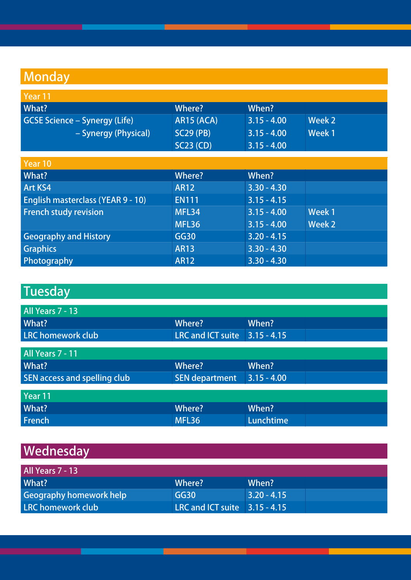## **Monday**

| Year 11                                  |                   |               |               |
|------------------------------------------|-------------------|---------------|---------------|
| What?                                    | Where?            | When?         |               |
| <b>GCSE Science – Synergy (Life)</b>     | <b>AR15 (ACA)</b> | $3.15 - 4.00$ | Week 2        |
| - Synergy (Physical)                     | <b>SC29 (PB)</b>  | $3.15 - 4.00$ | <b>Week1</b>  |
|                                          | <b>SC23 (CD)</b>  | $3.15 - 4.00$ |               |
|                                          |                   |               |               |
| Year 10                                  |                   |               |               |
| What?                                    | Where?            | When?         |               |
| <b>Art KS4</b>                           | <b>AR12</b>       | $3.30 - 4.30$ |               |
| <b>English masterclass (YEAR 9 - 10)</b> | <b>EN111</b>      | $3.15 - 4.15$ |               |
| <b>French study revision</b>             | MFL34             | $3.15 - 4.00$ | <b>Week 1</b> |
|                                          | MFL36             | $3.15 - 4.00$ | Week 2        |
| <b>Geography and History</b>             | <b>GG30</b>       | $3.20 - 4.15$ |               |
| Graphics                                 | <b>AR13</b>       | $3.30 - 4.30$ |               |
| Photography                              | <b>AR12</b>       | $3.30 - 4.30$ |               |

#### **Tuesday**

| All Years 7 - 13                    |                               |               |  |
|-------------------------------------|-------------------------------|---------------|--|
| What?                               | Where?                        | When?         |  |
| <b>LRC</b> homework club            | LRC and ICT suite 3.15 - 4.15 |               |  |
|                                     |                               |               |  |
| All Years 7 - 11                    |                               |               |  |
| What?                               | Where?                        | When?         |  |
| <b>SEN access and spelling club</b> | <b>SEN department</b>         | $3.15 - 4.00$ |  |
|                                     |                               |               |  |
| Year 11                             |                               |               |  |
| What?                               | Where?                        | When?         |  |
| French                              | MFL36                         | Lunchtime     |  |

#### **Wednesday**

| All Years 7 - 13        |                                 |               |  |
|-------------------------|---------------------------------|---------------|--|
| What?                   | Where?                          | When?         |  |
| Geography homework help | GG30                            | $3.20 - 4.15$ |  |
| LRC homework club       | LRC and ICT suite $3.15 - 4.15$ |               |  |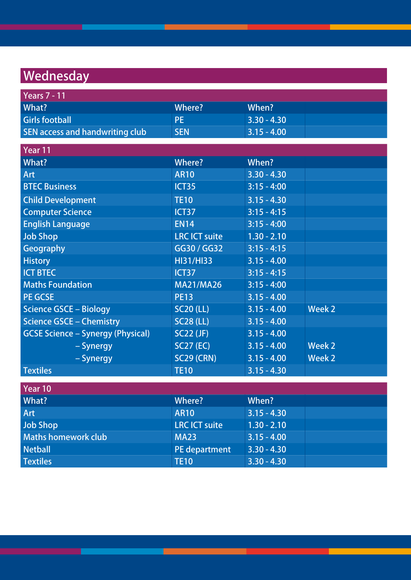#### **Wednesday**

| <b>Years 7 - 11</b>                      |                      |                                     |               |
|------------------------------------------|----------------------|-------------------------------------|---------------|
| What?                                    | <b>Where?</b>        | When?                               |               |
| <b>Girls football</b>                    | <b>PE</b>            | $3.30 - 4.30$                       |               |
| SEN access and handwriting club          | <b>SEN</b>           | $3.15 - 4.00$                       |               |
| Year 11                                  |                      |                                     |               |
| What?                                    | <b>Where?</b>        | When?                               |               |
| <b>Art</b>                               | <b>AR10</b>          | $3.30 - 4.30$                       |               |
| <b>BTEC Business</b>                     | ICT35                | $3:15 - 4:00$                       |               |
| <b>Child Development</b>                 | <b>TE10</b>          | $3.15 - 4.30$                       |               |
| <b>Computer Science</b>                  | ICT <sub>37</sub>    | $3:15 - 4:15$                       |               |
| <b>English Language</b>                  | <b>EN14</b>          | $3:15 - 4:00$                       |               |
| <b>Job Shop</b>                          | <b>LRC ICT suite</b> | $1.30 - 2.10$                       |               |
| Geography                                | GG30 / GG32          | $3:15 - 4:15$                       |               |
| <b>History</b>                           | <b>HI31/HI33</b>     | $3.15 - 4.00$                       |               |
| <b>ICT BTEC</b>                          | ICT <sub>37</sub>    | $3:15 - 4:15$                       |               |
| <b>Maths Foundation</b>                  | <b>MA21/MA26</b>     | $3:15 - 4:00$                       |               |
| <b>PE GCSE</b>                           | <b>PE13</b>          | $3.15 - 4.00$                       |               |
| <b>Science GSCE - Biology</b>            | <b>SC20 (LL)</b>     | $3.15 - 4.00$                       | <b>Week 2</b> |
| <b>Science GSCE - Chemistry</b>          | <b>SC28 (LL)</b>     | $3.15 - 4.00$                       |               |
| <b>GCSE Science - Synergy (Physical)</b> | <b>SC22 (JF)</b>     | $3.15 - 4.00$                       |               |
| – Synergy                                | <b>SC27 (EC)</b>     | $3.15 - 4.00$                       | <b>Week 2</b> |
| - Synergy                                | <b>SC29 (CRN)</b>    | $3.15 - 4.00$                       | <b>Week 2</b> |
| <b>Textiles</b>                          | <b>TE10</b>          | $3.15 - 4.30$                       |               |
| Year 10                                  |                      |                                     |               |
| What?                                    | <b>Where?</b>        | When?                               |               |
| Art                                      | <b>AR10</b>          | $3.15 - 4.30$                       |               |
| <b>Job Shop</b>                          | <b>LRC ICT suite</b> | $1.\overline{30} - 2.1\overline{0}$ |               |
| <b>Maths homework club</b>               | <b>MA23</b>          | $3.15 - 4.00$                       |               |
| <b>Netball</b>                           | PE department        | $3.30 - 4.30$                       |               |
| <b>Textiles</b>                          | <b>TE10</b>          | $3.30 - 4.30$                       |               |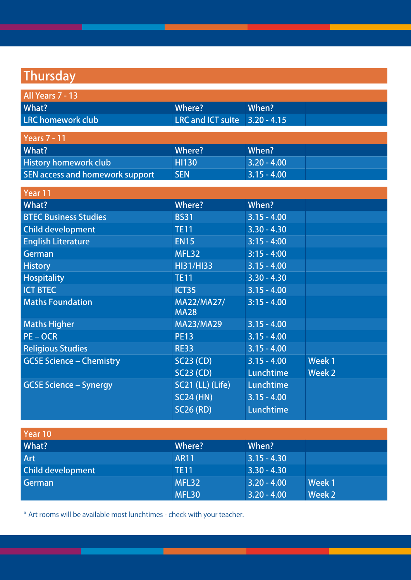#### **Thursday**

| All Years 7 - 13                |                                  |               |               |
|---------------------------------|----------------------------------|---------------|---------------|
| What?                           | <b>Where?</b>                    | When?         |               |
| <b>LRC</b> homework club        | <b>LRC and ICT suite</b>         | $3.20 - 4.15$ |               |
| <b>Years 7 - 11</b>             |                                  |               |               |
| What?                           | <b>Where?</b>                    | When?         |               |
| <b>History homework club</b>    | <b>HI130</b>                     | $3.20 - 4.00$ |               |
| SEN access and homework support | <b>SEN</b>                       | $3.15 - 4.00$ |               |
|                                 |                                  |               |               |
| Year 11                         |                                  |               |               |
| What?                           | <b>Where?</b>                    | When?         |               |
| <b>BTEC Business Studies</b>    | <b>BS31</b>                      | $3.15 - 4.00$ |               |
| <b>Child development</b>        | <b>TE11</b>                      | $3.30 - 4.30$ |               |
| <b>English Literature</b>       | <b>EN15</b>                      | $3:15 - 4:00$ |               |
| <b>German</b>                   | MFL32                            | $3:15 - 4:00$ |               |
| <b>History</b>                  | <b>HI31/HI33</b>                 | $3.15 - 4.00$ |               |
| <b>Hospitality</b>              | <b>TE11</b>                      | $3.30 - 4.30$ |               |
| <b>ICT BTEC</b>                 | <b>ICT35</b>                     | $3.15 - 4.00$ |               |
| <b>Maths Foundation</b>         | <b>MA22/MA27/</b><br><b>MA28</b> | $3:15 - 4.00$ |               |
| <b>Maths Higher</b>             | <b>MA23/MA29</b>                 | $3.15 - 4.00$ |               |
| $PE-OCR$                        | <b>PE13</b>                      | $3.15 - 4.00$ |               |
| <b>Religious Studies</b>        | <b>RE33</b>                      | $3.15 - 4.00$ |               |
| <b>GCSE Science - Chemistry</b> | SC23 (CD)                        | $3.15 - 4.00$ | Week 1        |
|                                 | <b>SC23 (CD)</b>                 | Lunchtime     | <b>Week 2</b> |
| <b>GCSE Science - Synergy</b>   | SC21 (LL) (Life)                 | Lunchtime     |               |
|                                 | $SC24$ (HN)                      | $3.15 - 4.00$ |               |
|                                 | <b>SC26 (RD)</b>                 | Lunchtime     |               |
|                                 |                                  |               |               |
| Year 10                         |                                  |               |               |
| What?                           | <b>Where?</b>                    | When?         |               |
| Art                             | <b>AR11</b>                      | $3.15 - 4.30$ |               |
| <b>Child development</b>        | <b>TE11</b>                      | $3.30 - 4.30$ |               |

\* Art rooms will be available most lunchtimes - check with your teacher.

**German** MFL32 3.20 - 4.00 Week 1

MFL30 3.20 - 4.00 Week 2